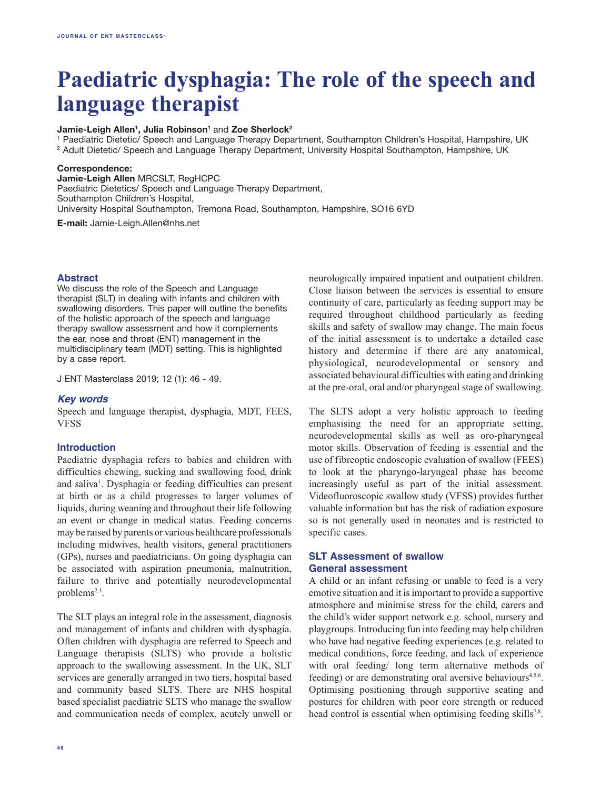# **Paediatric dysphagia: The role of the speech and language therapist**

#### **Jamie-Leigh Allen<sup>1</sup>, Julia Robinson<sup>1</sup> and Zoe Sherlock<sup>2</sup>**

1 Paediatric Dietetic/ Speech and Language Therapy Department, Southampton Children's Hospital, Hampshire, UK 2 Adult Dietetic/ Speech and Language Therapy Department, University Hospital Southampton, Hampshire, UK

#### **Correspondence:**

**Jamie-Leigh Allen** MRCSLT, RegHCPC Paediatric Dietetics/ Speech and Language Therapy Department, Southampton Children's Hospital, University Hospital Southampton, Tremona Road, Southampton, Hampshire, SO16 6YD **E-mail:** Jamie-Leigh.Allen@nhs.net

#### **Abstract**

We discuss the role of the Speech and Language therapist (SLT) in dealing with infants and children with swallowing disorders. This paper will outline the benefits of the holistic approach of the speech and language therapy swallow assessment and how it complements the ear, nose and throat (ENT) management in the multidisciplinary team (MDT) setting. This is highlighted by a case report.

J ENT Masterclass 2019; 12 (1): 46 - 49.

### *Key words*

Speech and language therapist, dysphagia, MDT, FEES, VFSS

#### **Introduction**

Paediatric dysphagia refers to babies and children with difficulties chewing, sucking and swallowing food, drink and saliva<sup>1</sup>. Dysphagia or feeding difficulties can present at birth or as a child progresses to larger volumes of liquids, during weaning and throughout their life following an event or change in medical status. Feeding concerns may be raised by parents or various healthcare professionals including midwives, health visitors, general practitioners (GPs), nurses and paediatricians. On going dysphagia can be associated with aspiration pneumonia, malnutrition, failure to thrive and potentially neurodevelopmental problems<sup>2,3</sup>.

The SLT plays an integral role in the assessment, diagnosis and management of infants and children with dysphagia. Often children with dysphagia are referred to Speech and Language therapists (SLTS) who provide a holistic approach to the swallowing assessment. In the UK, SLT services are generally arranged in two tiers, hospital based and community based SLTS. There are NHS hospital based specialist paediatric SLTS who manage the swallow and communication needs of complex, acutely unwell or

neurologically impaired inpatient and outpatient children. Close liaison between the services is essential to ensure continuity of care, particularly as feeding support may be required throughout childhood particularly as feeding skills and safety of swallow may change. The main focus of the initial assessment is to undertake a detailed case history and determine if there are any anatomical, physiological, neurodevelopmental or sensory and associated behavioural difficulties with eating and drinking at the pre-oral, oral and/or pharyngeal stage of swallowing.

The SLTS adopt a very holistic approach to feeding emphasising the need for an appropriate setting, neurodevelopmental skills as well as oro-pharyngeal motor skills. Observation of feeding is essential and the use of fibreoptic endoscopic evaluation of swallow (FEES) to look at the pharyngo-laryngeal phase has become increasingly useful as part of the initial assessment. Videofluoroscopic swallow study (VFSS) provides further valuable information but has the risk of radiation exposure so is not generally used in neonates and is restricted to specific cases.

## **SLT Assessment of swallow General assessment**

A child or an infant refusing or unable to feed is a very emotive situation and it is important to provide a supportive atmosphere and minimise stress for the child, carers and the child's wider support network e.g. school, nursery and playgroups. Introducing fun into feeding may help children who have had negative feeding experiences (e.g. related to medical conditions, force feeding, and lack of experience with oral feeding/ long term alternative methods of feeding) or are demonstrating oral aversive behaviours<sup>4,5,6</sup>. Optimising positioning through supportive seating and postures for children with poor core strength or reduced head control is essential when optimising feeding skills<sup>7,8</sup>.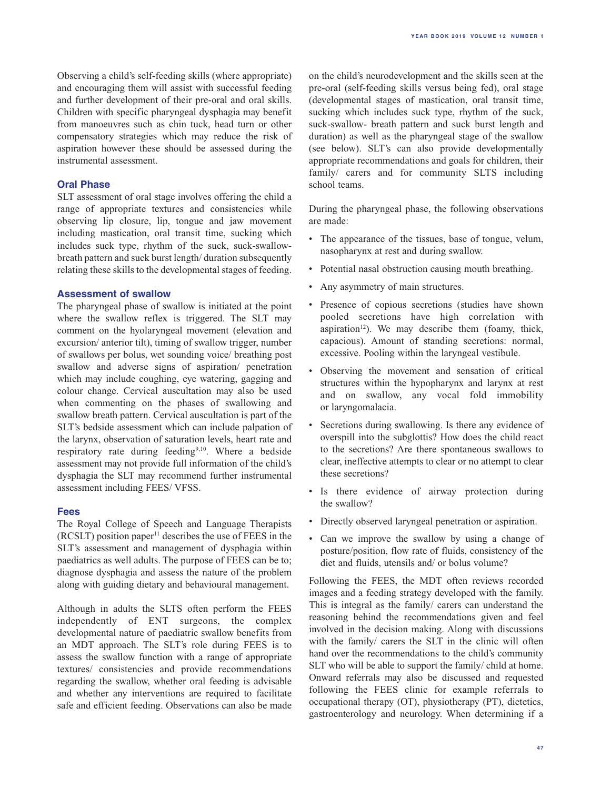Observing a child's self-feeding skills (where appropriate) and encouraging them will assist with successful feeding and further development of their pre-oral and oral skills. Children with specific pharyngeal dysphagia may benefit from manoeuvres such as chin tuck, head turn or other compensatory strategies which may reduce the risk of aspiration however these should be assessed during the instrumental assessment.

## **Oral Phase**

SLT assessment of oral stage involves offering the child a range of appropriate textures and consistencies while observing lip closure, lip, tongue and jaw movement including mastication, oral transit time, sucking which includes suck type, rhythm of the suck, suck-swallowbreath pattern and suck burst length/ duration subsequently relating these skills to the developmental stages of feeding.

## **Assessment of swallow**

The pharyngeal phase of swallow is initiated at the point where the swallow reflex is triggered. The SLT may comment on the hyolaryngeal movement (elevation and excursion/ anterior tilt), timing of swallow trigger, number of swallows per bolus, wet sounding voice/ breathing post swallow and adverse signs of aspiration/ penetration which may include coughing, eye watering, gagging and colour change. Cervical auscultation may also be used when commenting on the phases of swallowing and swallow breath pattern. Cervical auscultation is part of the SLT's bedside assessment which can include palpation of the larynx, observation of saturation levels, heart rate and respiratory rate during feeding9,10. Where a bedside assessment may not provide full information of the child's dysphagia the SLT may recommend further instrumental assessment including FEES/ VFSS.

## **Fees**

The Royal College of Speech and Language Therapists  $(RCSLT)$  position paper<sup>11</sup> describes the use of FEES in the SLT's assessment and management of dysphagia within paediatrics as well adults. The purpose of FEES can be to; diagnose dysphagia and assess the nature of the problem along with guiding dietary and behavioural management.

Although in adults the SLTS often perform the FEES independently of ENT surgeons, the complex developmental nature of paediatric swallow benefits from an MDT approach. The SLT's role during FEES is to assess the swallow function with a range of appropriate textures/ consistencies and provide recommendations regarding the swallow, whether oral feeding is advisable and whether any interventions are required to facilitate safe and efficient feeding. Observations can also be made on the child's neurodevelopment and the skills seen at the pre-oral (self-feeding skills versus being fed), oral stage (developmental stages of mastication, oral transit time, sucking which includes suck type, rhythm of the suck, suck-swallow- breath pattern and suck burst length and duration) as well as the pharyngeal stage of the swallow (see below). SLT's can also provide developmentally appropriate recommendations and goals for children, their family/ carers and for community SLTS including school teams.

During the pharyngeal phase, the following observations are made:

- The appearance of the tissues, base of tongue, velum, nasopharynx at rest and during swallow.
- Potential nasal obstruction causing mouth breathing.
- Any asymmetry of main structures.
- Presence of copious secretions (studies have shown pooled secretions have high correlation with aspiration<sup>12</sup>). We may describe them (foamy, thick, capacious). Amount of standing secretions: normal, excessive. Pooling within the laryngeal vestibule.
- • Observing the movement and sensation of critical structures within the hypopharynx and larynx at rest and on swallow, any vocal fold immobility or laryngomalacia.
- Secretions during swallowing. Is there any evidence of overspill into the subglottis? How does the child react to the secretions? Are there spontaneous swallows to clear, ineffective attempts to clear or no attempt to clear these secretions?
- Is there evidence of airway protection during the swallow?
- • Directly observed laryngeal penetration or aspiration.
- Can we improve the swallow by using a change of posture/position, flow rate of fluids, consistency of the diet and fluids, utensils and/ or bolus volume?

Following the FEES, the MDT often reviews recorded images and a feeding strategy developed with the family. This is integral as the family/ carers can understand the reasoning behind the recommendations given and feel involved in the decision making. Along with discussions with the family/ carers the SLT in the clinic will often hand over the recommendations to the child's community SLT who will be able to support the family/ child at home. Onward referrals may also be discussed and requested following the FEES clinic for example referrals to occupational therapy (OT), physiotherapy (PT), dietetics, gastroenterology and neurology. When determining if a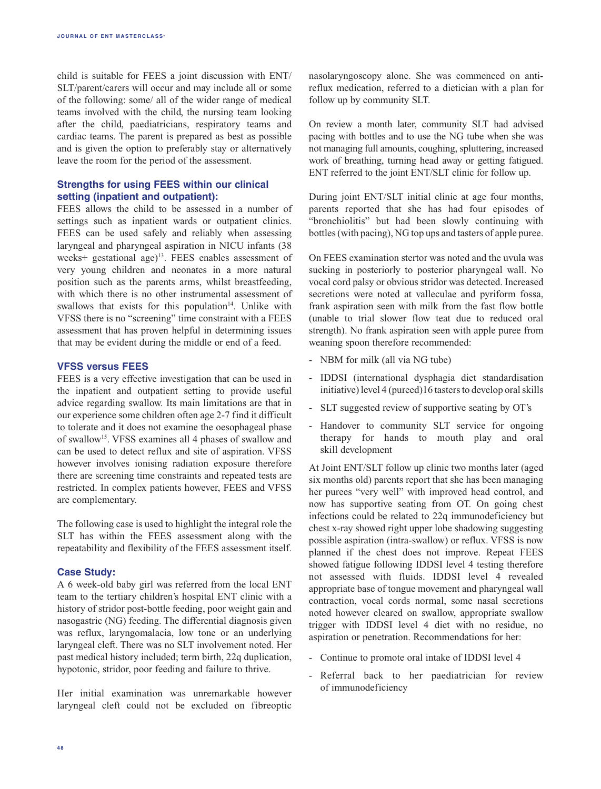child is suitable for FEES a joint discussion with ENT/ SLT/parent/carers will occur and may include all or some of the following: some/ all of the wider range of medical teams involved with the child, the nursing team looking after the child, paediatricians, respiratory teams and cardiac teams. The parent is prepared as best as possible and is given the option to preferably stay or alternatively leave the room for the period of the assessment.

## **Strengths for using FEES within our clinical setting (inpatient and outpatient):**

FEES allows the child to be assessed in a number of settings such as inpatient wards or outpatient clinics. FEES can be used safely and reliably when assessing laryngeal and pharyngeal aspiration in NICU infants (38 weeks+ gestational age)13. FEES enables assessment of very young children and neonates in a more natural position such as the parents arms, whilst breastfeeding, with which there is no other instrumental assessment of swallows that exists for this population $14$ . Unlike with VFSS there is no "screening" time constraint with a FEES assessment that has proven helpful in determining issues that may be evident during the middle or end of a feed.

## **VFSS versus FEES**

FEES is a very effective investigation that can be used in the inpatient and outpatient setting to provide useful advice regarding swallow. Its main limitations are that in our experience some children often age 2-7 find it difficult to tolerate and it does not examine the oesophageal phase of swallow15. VFSS examines all 4 phases of swallow and can be used to detect reflux and site of aspiration. VFSS however involves ionising radiation exposure therefore there are screening time constraints and repeated tests are restricted. In complex patients however, FEES and VFSS are complementary.

The following case is used to highlight the integral role the SLT has within the FEES assessment along with the repeatability and flexibility of the FEES assessment itself.

### **Case Study:**

A 6 week-old baby girl was referred from the local ENT team to the tertiary children's hospital ENT clinic with a history of stridor post-bottle feeding, poor weight gain and nasogastric (NG) feeding. The differential diagnosis given was reflux, laryngomalacia, low tone or an underlying laryngeal cleft. There was no SLT involvement noted. Her past medical history included; term birth, 22q duplication, hypotonic, stridor, poor feeding and failure to thrive.

Her initial examination was unremarkable however laryngeal cleft could not be excluded on fibreoptic nasolaryngoscopy alone. She was commenced on antireflux medication, referred to a dietician with a plan for follow up by community SLT.

On review a month later, community SLT had advised pacing with bottles and to use the NG tube when she was not managing full amounts, coughing, spluttering, increased work of breathing, turning head away or getting fatigued. ENT referred to the joint ENT/SLT clinic for follow up.

During joint ENT/SLT initial clinic at age four months, parents reported that she has had four episodes of "bronchiolitis" but had been slowly continuing with bottles (with pacing), NG top ups and tasters of apple puree.

On FEES examination stertor was noted and the uvula was sucking in posteriorly to posterior pharyngeal wall. No vocal cord palsy or obvious stridor was detected. Increased secretions were noted at valleculae and pyriform fossa, frank aspiration seen with milk from the fast flow bottle (unable to trial slower flow teat due to reduced oral strength). No frank aspiration seen with apple puree from weaning spoon therefore recommended:

- NBM for milk (all via NG tube)
- IDDSI (international dysphagia diet standardisation initiative) level 4 (pureed)16 tasters to develop oral skills
- SLT suggested review of supportive seating by OT's
- Handover to community SLT service for ongoing therapy for hands to mouth play and oral skill development

At Joint ENT/SLT follow up clinic two months later (aged six months old) parents report that she has been managing her purees "very well" with improved head control, and now has supportive seating from OT. On going chest infections could be related to 22q immunodeficiency but chest x-ray showed right upper lobe shadowing suggesting possible aspiration (intra-swallow) or reflux. VFSS is now planned if the chest does not improve. Repeat FEES showed fatigue following IDDSI level 4 testing therefore not assessed with fluids. IDDSI level 4 revealed appropriate base of tongue movement and pharyngeal wall contraction, vocal cords normal, some nasal secretions noted however cleared on swallow, appropriate swallow trigger with IDDSI level 4 diet with no residue, no aspiration or penetration. Recommendations for her:

- Continue to promote oral intake of IDDSI level 4
- Referral back to her paediatrician for review of immunodeficiency